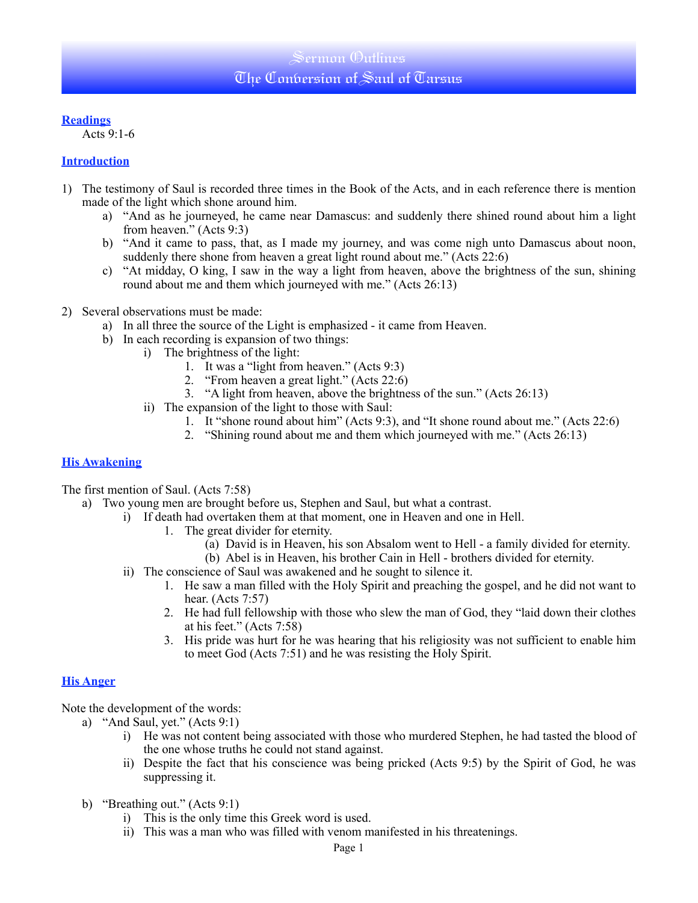## Sermon (Dutlines The Conbersion of Saul of Tarsus

## **Readings**

Acts 9:1-6

## **Introduction**

- 1) The testimony of Saul is recorded three times in the Book of the Acts, and in each reference there is mention made of the light which shone around him.
	- a) "And as he journeyed, he came near Damascus: and suddenly there shined round about him a light from heaven." (Acts 9:3)
	- b) "And it came to pass, that, as I made my journey, and was come nigh unto Damascus about noon, suddenly there shone from heaven a great light round about me." (Acts 22:6)
	- c) "At midday, O king, I saw in the way a light from heaven, above the brightness of the sun, shining round about me and them which journeyed with me." (Acts 26:13)
- 2) Several observations must be made:
	- a) In all three the source of the Light is emphasized it came from Heaven.
	- b) In each recording is expansion of two things:
		- i) The brightness of the light:
			- 1. It was a "light from heaven." (Acts 9:3)
			- 2. "From heaven a great light." (Acts 22:6)
			- 3. "A light from heaven, above the brightness of the sun." (Acts 26:13)
		- ii) The expansion of the light to those with Saul:
			- 1. It "shone round about him" (Acts 9:3), and "It shone round about me." (Acts 22:6)
			- 2. "Shining round about me and them which journeyed with me." (Acts 26:13)

### **His Awakening**

The first mention of Saul. (Acts 7:58)

- a) Two young men are brought before us, Stephen and Saul, but what a contrast.
	- i) If death had overtaken them at that moment, one in Heaven and one in Hell.
		- 1. The great divider for eternity.
			- (a) David is in Heaven, his son Absalom went to Hell a family divided for eternity.
			- (b) Abel is in Heaven, his brother Cain in Hell brothers divided for eternity.
	- ii) The conscience of Saul was awakened and he sought to silence it.
		- 1. He saw a man filled with the Holy Spirit and preaching the gospel, and he did not want to hear. (Acts 7:57)
		- 2. He had full fellowship with those who slew the man of God, they "laid down their clothes at his feet." (Acts 7:58)
		- 3. His pride was hurt for he was hearing that his religiosity was not sufficient to enable him to meet God (Acts 7:51) and he was resisting the Holy Spirit.

### **His Anger**

Note the development of the words:

- a) "And Saul, yet." (Acts 9:1)
	- i) He was not content being associated with those who murdered Stephen, he had tasted the blood of the one whose truths he could not stand against.
	- ii) Despite the fact that his conscience was being pricked (Acts 9:5) by the Spirit of God, he was suppressing it.
- b) "Breathing out." (Acts 9:1)
	- i) This is the only time this Greek word is used.
	- ii) This was a man who was filled with venom manifested in his threatenings.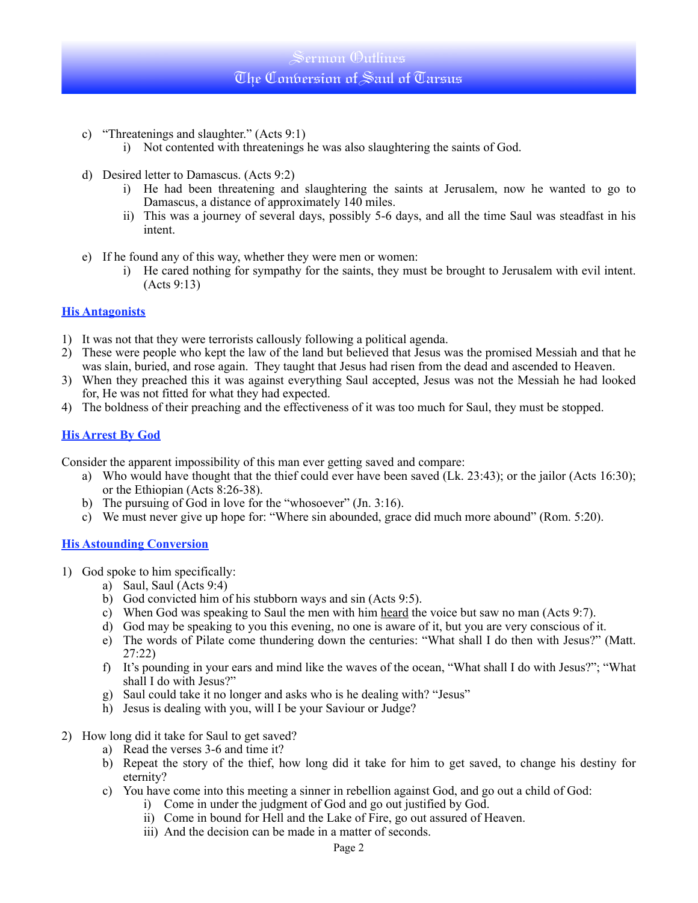- c) "Threatenings and slaughter." (Acts 9:1)
	- i) Not contented with threatenings he was also slaughtering the saints of God.
- d) Desired letter to Damascus. (Acts 9:2)
	- i) He had been threatening and slaughtering the saints at Jerusalem, now he wanted to go to Damascus, a distance of approximately 140 miles.
	- ii) This was a journey of several days, possibly 5-6 days, and all the time Saul was steadfast in his intent.
- e) If he found any of this way, whether they were men or women:
	- i) He cared nothing for sympathy for the saints, they must be brought to Jerusalem with evil intent. (Acts 9:13)

## **His Antagonists**

- 1) It was not that they were terrorists callously following a political agenda.
- 2) These were people who kept the law of the land but believed that Jesus was the promised Messiah and that he was slain, buried, and rose again. They taught that Jesus had risen from the dead and ascended to Heaven.
- 3) When they preached this it was against everything Saul accepted, Jesus was not the Messiah he had looked for, He was not fitted for what they had expected.
- 4) The boldness of their preaching and the effectiveness of it was too much for Saul, they must be stopped.

## **His Arrest By God**

Consider the apparent impossibility of this man ever getting saved and compare:

- a) Who would have thought that the thief could ever have been saved (Lk. 23:43); or the jailor (Acts 16:30); or the Ethiopian (Acts 8:26-38).
- b) The pursuing of God in love for the "whosoever" (Jn. 3:16).
- c) We must never give up hope for: "Where sin abounded, grace did much more abound" (Rom. 5:20).

### **His Astounding Conversion**

- 1) God spoke to him specifically:
	- a) Saul, Saul  $(Acts 9:4)$
	- b) God convicted him of his stubborn ways and sin (Acts 9:5).
	- c) When God was speaking to Saul the men with him heard the voice but saw no man (Acts 9:7).
	- d) God may be speaking to you this evening, no one is aware of it, but you are very conscious of it.
	- e) The words of Pilate come thundering down the centuries: "What shall I do then with Jesus?" (Matt. 27:22)
	- f) It's pounding in your ears and mind like the waves of the ocean, "What shall I do with Jesus?"; "What shall I do with Jesus?"
	- g) Saul could take it no longer and asks who is he dealing with? "Jesus"
	- h) Jesus is dealing with you, will I be your Saviour or Judge?
- 2) How long did it take for Saul to get saved?
	- a) Read the verses 3-6 and time it?
	- b) Repeat the story of the thief, how long did it take for him to get saved, to change his destiny for eternity?
	- c) You have come into this meeting a sinner in rebellion against God, and go out a child of God:
		- i) Come in under the judgment of God and go out justified by God.
		- ii) Come in bound for Hell and the Lake of Fire, go out assured of Heaven.
		- iii) And the decision can be made in a matter of seconds.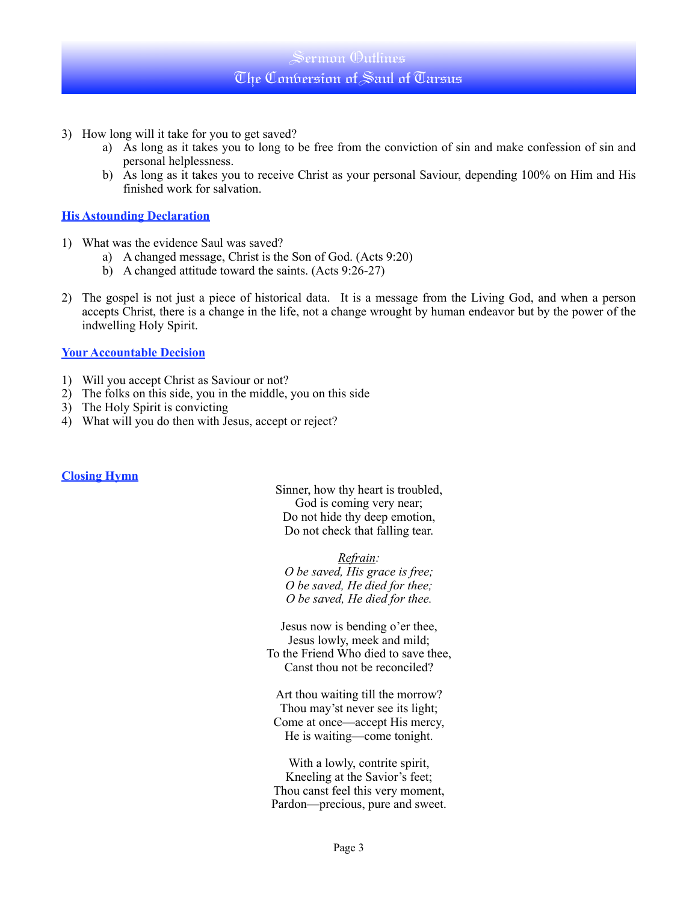# Sermon Outlines The Conversion of Saul of Tarsus

- 3) How long will it take for you to get saved?
	- a) As long as it takes you to long to be free from the conviction of sin and make confession of sin and personal helplessness.
	- b) As long as it takes you to receive Christ as your personal Saviour, depending 100% on Him and His finished work for salvation.

### **His Astounding Declaration**

- 1) What was the evidence Saul was saved?
	- a) A changed message, Christ is the Son of God. (Acts 9:20)
	- b) A changed attitude toward the saints. (Acts 9:26-27)
- 2) The gospel is not just a piece of historical data. It is a message from the Living God, and when a person accepts Christ, there is a change in the life, not a change wrought by human endeavor but by the power of the indwelling Holy Spirit.

#### **Your Accountable Decision**

- 1) Will you accept Christ as Saviour or not?
- 2) The folks on this side, you in the middle, you on this side
- 3) The Holy Spirit is convicting
- 4) What will you do then with Jesus, accept or reject?

#### **Closing Hymn**

Sinner, how thy heart is troubled, God is coming very near; Do not hide thy deep emotion, Do not check that falling tear.

*Refrain: O be saved, His grace is free; O be saved, He died for thee; O be saved, He died for thee.*

Jesus now is bending o'er thee, Jesus lowly, meek and mild; To the Friend Who died to save thee, Canst thou not be reconciled?

Art thou waiting till the morrow? Thou may'st never see its light; Come at once—accept His mercy, He is waiting—come tonight.

With a lowly, contrite spirit, Kneeling at the Savior's feet; Thou canst feel this very moment, Pardon—precious, pure and sweet.